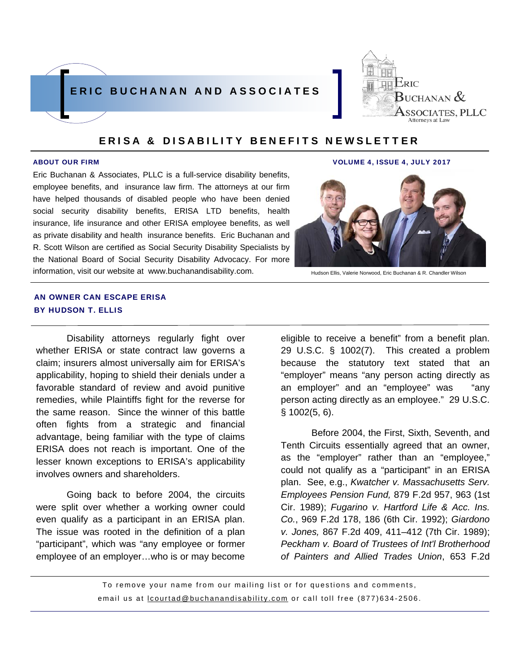



Eric Buchanan & Associates, PLLC is a full-service disability benefits, employee benefits, and insurance law firm. The attorneys at our firm have helped thousands of disabled people who have been denied social security disability benefits, ERISA LTD benefits, health insurance, life insurance and other ERISA employee benefits, as well as private disability and health insurance benefits. Eric Buchanan and R. Scott Wilson are certified as Social Security Disability Specialists by the National Board of Social Security Disability Advocacy. For more information, visit our website at www.buchanandisability.com.

#### ABOUT OUR FIRM VOLUME 4, ISSUE 4, JULY 2017



Hudson Ellis, Valerie Norwood, Eric Buchanan & R. Chandler Wilson

## AN OWNER CAN ESCAPE ERISA BY HUDSON T. ELLIS

 Disability attorneys regularly fight over whether ERISA or state contract law governs a claim; insurers almost universally aim for ERISA's applicability, hoping to shield their denials under a favorable standard of review and avoid punitive remedies, while Plaintiffs fight for the reverse for the same reason. Since the winner of this battle often fights from a strategic and financial advantage, being familiar with the type of claims ERISA does not reach is important. One of the lesser known exceptions to ERISA's applicability involves owners and shareholders.

 Going back to before 2004, the circuits were split over whether a working owner could even qualify as a participant in an ERISA plan. The issue was rooted in the definition of a plan "participant", which was "any employee or former employee of an employer…who is or may become eligible to receive a benefit" from a benefit plan. 29 U.S.C. § 1002(7). This created a problem because the statutory text stated that an "employer" means "any person acting directly as an employer" and an "employee" was "any person acting directly as an employee." 29 U.S.C. § 1002(5, 6).

 Before 2004, the First, Sixth, Seventh, and Tenth Circuits essentially agreed that an owner, as the "employer" rather than an "employee," could not qualify as a "participant" in an ERISA plan. See, e.g., *Kwatcher v. Massachusetts Serv. Employees Pension Fund,* 879 F.2d 957, 963 (1st Cir. 1989); *Fugarino v. Hartford Life & Acc. Ins. Co.*, 969 F.2d 178, 186 (6th Cir. 1992); *Giardono v. Jones,* 867 F.2d 409, 411–412 (7th Cir. 1989); *Peckham v. Board of Trustees of Int'l Brotherhood of Painters and Allied Trades Union*, 653 F.2d

To remove your name from our mailing list or for questions and comments, email us at lcourtad@buchanandisability.com or call toll free (877)634-2506.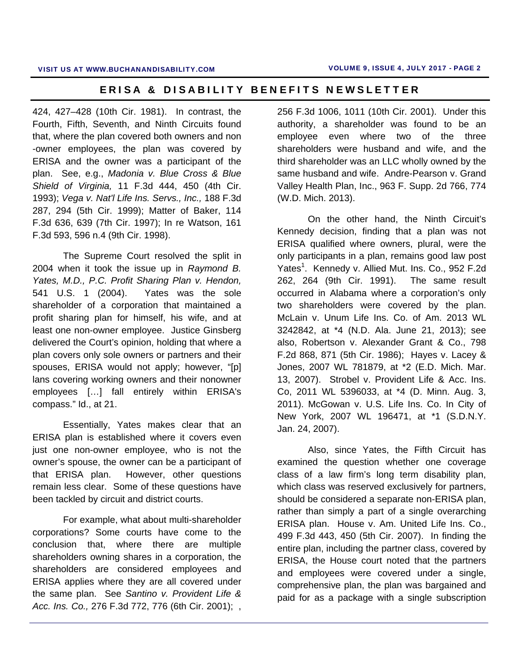424, 427–428 (10th Cir. 1981). In contrast, the Fourth, Fifth, Seventh, and Ninth Circuits found that, where the plan covered both owners and non -owner employees, the plan was covered by ERISA and the owner was a participant of the plan. See, e.g., *Madonia v. Blue Cross & Blue Shield of Virginia,* 11 F.3d 444, 450 (4th Cir. 1993); *Vega v. Nat'l Life Ins. Servs., Inc.,* 188 F.3d 287, 294 (5th Cir. 1999); Matter of Baker, 114 F.3d 636, 639 (7th Cir. 1997); In re Watson, 161 F.3d 593, 596 n.4 (9th Cir. 1998).

 The Supreme Court resolved the split in 2004 when it took the issue up in *Raymond B. Yates, M.D., P.C. Profit Sharing Plan v. Hendon,*  541 U.S. 1 (2004). Yates was the sole shareholder of a corporation that maintained a profit sharing plan for himself, his wife, and at least one non-owner employee. Justice Ginsberg delivered the Court's opinion, holding that where a plan covers only sole owners or partners and their spouses, ERISA would not apply; however, "[p] lans covering working owners and their nonowner employees […] fall entirely within ERISA's compass." Id., at 21.

 Essentially, Yates makes clear that an ERISA plan is established where it covers even just one non-owner employee, who is not the owner's spouse, the owner can be a participant of that ERISA plan. However, other questions remain less clear. Some of these questions have been tackled by circuit and district courts.

 For example, what about multi-shareholder corporations? Some courts have come to the conclusion that, where there are multiple shareholders owning shares in a corporation, the shareholders are considered employees and ERISA applies where they are all covered under the same plan. See *Santino v. Provident Life & Acc. Ins. Co.,* 276 F.3d 772, 776 (6th Cir. 2001); , 256 F.3d 1006, 1011 (10th Cir. 2001). Under this authority, a shareholder was found to be an employee even where two of the three shareholders were husband and wife, and the third shareholder was an LLC wholly owned by the same husband and wife. Andre-Pearson v. Grand Valley Health Plan, Inc., 963 F. Supp. 2d 766, 774 (W.D. Mich. 2013).

 On the other hand, the Ninth Circuit's Kennedy decision, finding that a plan was not ERISA qualified where owners, plural, were the only participants in a plan, remains good law post Yates<sup>1</sup>. Kennedy v. Allied Mut. Ins. Co., 952 F.2d 262, 264 (9th Cir. 1991). The same result occurred in Alabama where a corporation's only two shareholders were covered by the plan. McLain v. Unum Life Ins. Co. of Am. 2013 WL 3242842, at \*4 (N.D. Ala. June 21, 2013); see also, Robertson v. Alexander Grant & Co., 798 F.2d 868, 871 (5th Cir. 1986); Hayes v. Lacey & Jones, 2007 WL 781879, at \*2 (E.D. Mich. Mar. 13, 2007). Strobel v. Provident Life & Acc. Ins. Co, 2011 WL 5396033, at \*4 (D. Minn. Aug. 3, 2011). McGowan v. U.S. Life Ins. Co. In City of New York, 2007 WL 196471, at \*1 (S.D.N.Y. Jan. 24, 2007).

 Also, since Yates, the Fifth Circuit has examined the question whether one coverage class of a law firm's long term disability plan, which class was reserved exclusively for partners, should be considered a separate non-ERISA plan, rather than simply a part of a single overarching ERISA plan. House v. Am. United Life Ins. Co., 499 F.3d 443, 450 (5th Cir. 2007). In finding the entire plan, including the partner class, covered by ERISA, the House court noted that the partners and employees were covered under a single, comprehensive plan, the plan was bargained and paid for as a package with a single subscription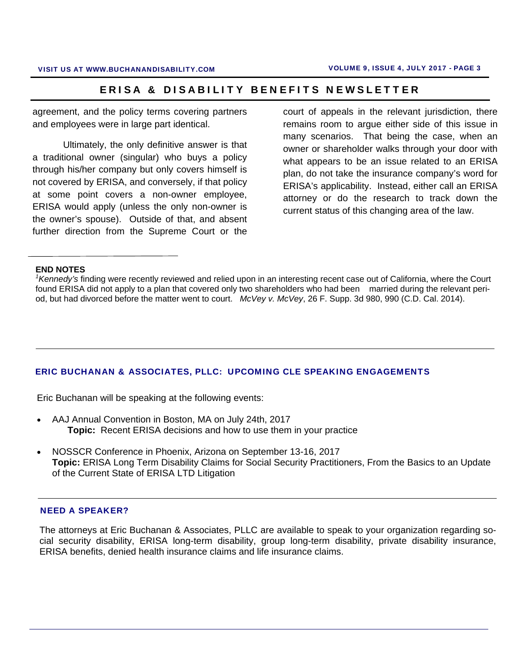agreement, and the policy terms covering partners and employees were in large part identical.

 Ultimately, the only definitive answer is that a traditional owner (singular) who buys a policy through his/her company but only covers himself is not covered by ERISA, and conversely, if that policy at some point covers a non-owner employee, ERISA would apply (unless the only non-owner is the owner's spouse). Outside of that, and absent further direction from the Supreme Court or the court of appeals in the relevant jurisdiction, there remains room to argue either side of this issue in many scenarios. That being the case, when an owner or shareholder walks through your door with what appears to be an issue related to an ERISA plan, do not take the insurance company's word for ERISA's applicability. Instead, either call an ERISA attorney or do the research to track down the current status of this changing area of the law.

#### **END NOTES**

*1 Kennedy's* finding were recently reviewed and relied upon in an interesting recent case out of California, where the Court found ERISA did not apply to a plan that covered only two shareholders who had been married during the relevant period, but had divorced before the matter went to court. *McVey v. McVey*, 26 F. Supp. 3d 980, 990 (C.D. Cal. 2014).

### ERIC BUCHANAN & ASSOCIATES, PLLC: UPCOMING CLE SPEAKING ENGAGEMENTS

Eric Buchanan will be speaking at the following events:

- AAJ Annual Convention in Boston, MA on July 24th, 2017  **Topic:** Recent ERISA decisions and how to use them in your practice
- NOSSCR Conference in Phoenix, Arizona on September 13-16, 2017 **Topic:** ERISA Long Term Disability Claims for Social Security Practitioners, From the Basics to an Update of the Current State of ERISA LTD Litigation

#### NEED A SPEAKER?

The attorneys at Eric Buchanan & Associates, PLLC are available to speak to your organization regarding social security disability, ERISA long-term disability, group long-term disability, private disability insurance, ERISA benefits, denied health insurance claims and life insurance claims.